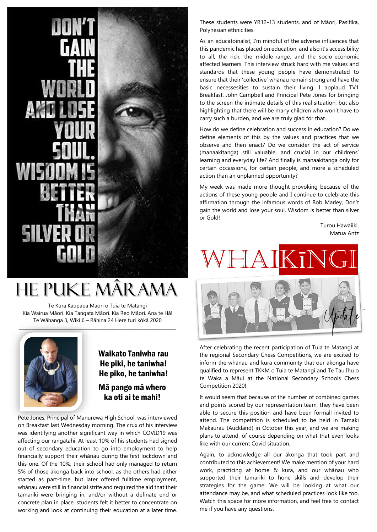## He Puke Mârama

Te Kura Kaupapa Māori o Tuia te Matangi Kia Wairua Māori. Kia Tangata Māori. Kia Reo Māori. Ana te Hā! Te Wāhanga 3, Wiki 6 – Rāhina 24 Here turi kōkā 2020



#### Waikato Taniwha rau He piki, he taniwha! He piko, he taniwha!

Mā pango mā whero ka oti ai te mahi!

Pete Jones, Principal of Manurewa High School, was interviewed on Breakfast last Wednesday morning. The crux of his interview was identifying another significant way in which COVID19 was affecting our rangatahi. At least 10% of his students had signed out of secondary education to go into employment to help financially support their whānau during the first lockdown and this one. Of the 10%, their school had only managed to return 5% of those ākonga back into school, as the others had either started as part-time, but later offered fulltime employment, whānau were still in financial strife and required the aid that their tamariki were bringing in, and/or without a definate end or concrete plan in place, students felt it better to concentrate on working and look at continuing their education at a later time.

These students were YR12-13 students, and of Māori, Pasifika, Polynesian ethnicities.

As an educatoinalist, I'm mindful of the adverse influences that this pandemic has placed on education, and also it's accessibility to all, the rich, the middle-range, and the socio-economic affected learners. This interview struck hard with me values and standards that these young people have demonstrated to ensure that their 'collective' whānau remain strong and have the basic necessesities to sustain their living. I applaud TV1 Breakfast, John Campbell and Principal Pete Jones for bringing to the screen the intimate details of this real situation, but also highlighting that there will be many children who won't have to carry such a burden, and we are truly glad for that.

How do we define celebration and success in education? Do we define elements of this by the values and practices that we observe and then enact? Do we consider the act of service (manaakitanga) still valuable, and crucial in our childrens' learning and everyday life? And finally is manaakitanga only for certain occassions, for certain people, and more a scheduled action than an unplanned opportunity?

My week was made more thought-provoking because of the actions of these young people and I continue to celebrate this affirmation through the infamous words of Bob Marley, Don't gain the world and lose your soul. Wisdom is better than silver or Gold!

> Turou Hawaiiki, Matua Antz

# KTNG



After celebrating the recent participation of Tuia te Matangi at the regional Secondary Chess Competitions, we are excited to inform the whānau and kura community that our ākonga have qualified to represent TKKM o Tuia te Matangi and Te Tau Ihu o te Waka a Māui at the National Secondary Schools Chess Competition 2020!

It would seem that because of the number of combined games and points scored by our representation team, they have been able to secure this position and have been formall invited to attend. The competition is scheduled to be held in Tamaki Makaurau (Auckland) in October this year, and we are making plans to attend, of course depending on what that even looks like with our current Covid situation.

Again, to acknowledge all our ākonga that took part and contributed to this achievement! We make mention of your hard work, practicing at home & kura, and our whānau who supported their tamariki to hone skills and develop their strategies for the game. We will be looking at what our attendance may be, and what scheduled practices look like too. Watch this space for more information, and feel free to contact me if you have any questions.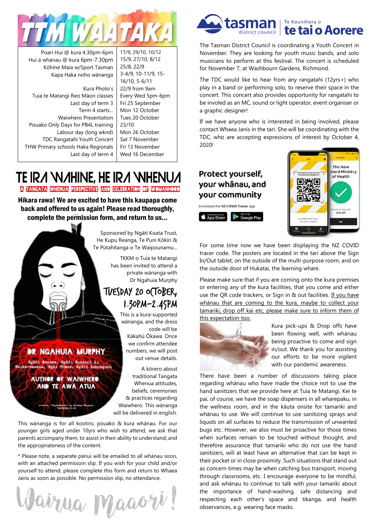

Poari Hui @ kura 4.30pm-6pm Hui ā whānau @ kura 6pm-7.30pm Kōhine Maia w/Sport Tasman Kapa Haka noho wānanga

Kura Photo's Tuia te Matangi Reo Māori classes Last day of term 3 Term 4 starts... Waiwhero Presentation Pouako Only Days for PB4L training Labour day (long wknd) TDC Rangatahi Youth Concert THW Primary schools Haka Regionals Last day of term 4

17/9, 29/10, 10/12 15/9, 27/10, 8/12 25/8, 22/9 3-4/9, 10-11/9, 15- 16/10, 5-6/11 22/9 from 9am Every Wed 5pm-6pm Fri 25 September Mon 12 October Tues 20 October 23/10 Mon 26 October Sat 7 November Fri 13 November Wed 16 December

#### TE IRA WAHINE, HE IRA WHENUA A TANGATA WHENUA PERSPECTIVE AND CELEBRATION OF WOMANHOOD

Hīkara rawa! We are excited to have this kaupapa come back and offered to us again! Please read thoroughly, complete the permission form, and return to us...



younger girls aged under 10yrs who wish to attend, we ask that parents accompany them, to assist in their ability to understand, and the appropriateness of the content.

\* Please note, a separate pānui will be emailed to all whānau soon, with an attached permissoin slip. If you wish for your child and/or yourself to attend, please complete this form and return to Whaea Janis as soon as possible. No permission slip, no attendance.

Wairua Maaori



The Tasman District Council is coordinating a Youth Concert in November. They are looking for youth music bands, and solo musicians to perform at this festival. The concert is scheduled for November 7, at Washbourn Gardens, Richmond.

The TDC would like to hear from any rangatahi (12yrs+) who play in a band or performing solo, to reserve their space in the concert. This concert also provides opportunity for rangatahi to be involed as an MC, sound or light operator, event organiser or a graphic designer!

If we have anyone who is interested in being involved, please contact Whaea Janis in the tari. She will be coordinating with the TDC, who are accepting expressions of interest by October 4, 2020!

#### Protect yourself, your whānau, and your community

Download the NZ COVID Tracer app **Example Store Coogle Play** 



For some time now we have been displaying the NZ COVID tracer code. The posters are located in the tari above the Sign In/Out tablet, on the outside of the multi-purpose room, and on the outside door of Hukatai, the learning whare.

Please make sure that if you are coming onto the kura premises or entering any of the kura facilities, that you come and either use the QR code trackers, or Sign in & out facilities. If you have whānau that are coming to the kura, maybe to collect your tamariki, drop off kai etc, please make sure to inform them of this expectation too.



Kura pick-ups & Drop offs have been flowing well, with whānau being proactive to come and sign in/out. We thank you for assisting our efforts to be more vigilent with our pandemic awareness.

There have been a number of discussions taking place regarding whānau who have made the choice not to use the hand sanitizers that we provide here at Tuia te Matangi. Kei te pai, of course, we have the soap dispensers in all wharepaku, in the wellness room, and in the kāuta onsite for tamariki and whānau to use. We will continue to use sanitizing sprays and liquids on all surfaces to reduce the transmission of unwanted bugs etc. However, we also must be proactive for those times when surfaces remain to be touched without thought, and therefore assurance that tamariki who do not use the hand sanitizers, will at least have an alternative that can be kept in their pocket or in close proximity. Such situations that stand out as concern times may be when catching bus transport, moving through classrooms, etc. I encourage everyone to be mindful, and ask whānau to continue to talk with your tamariki about the importance of hand-washing, safe distancing and respecting each other's space and tikanga, and health observances, e.g. wearing face masks.